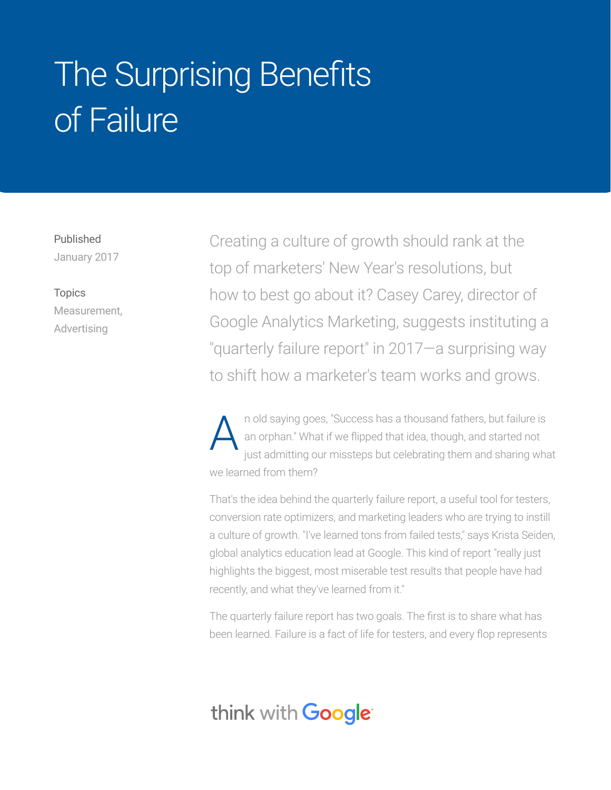## The Surprising Benefits of Failure

Published January 2017

Topics Measurement, Advertising

Creating a culture of growth should rank at the top of marketers' New Year's resolutions, but how to best go about it? Casey Carey, director of Google Analytics Marketing, suggests instituting a "quarterly failure report" in 2017—a surprising way to shift how a marketer's team works and grows.

n old saying goes, "Success has a thousand fathers, but failure is an orphan." What if we flipped that idea, though, and started not just admitting our missteps but celebrating them and sharing what we learned from them? A

That's the idea behind the quarterly failure report, a useful tool for testers, conversion rate optimizers, and marketing leaders who are trying to instill a culture of growth. "I've learned tons from failed tests," says Krista Seiden, global analytics education lead at Google. This kind of report "really just highlights the biggest, most miserable test results that people have had recently, and what they've learned from it."

The quarterly failure report has two goals. The first is to share what has been learned. Failure is a fact of life for testers, and every flop represents

## think with **Google**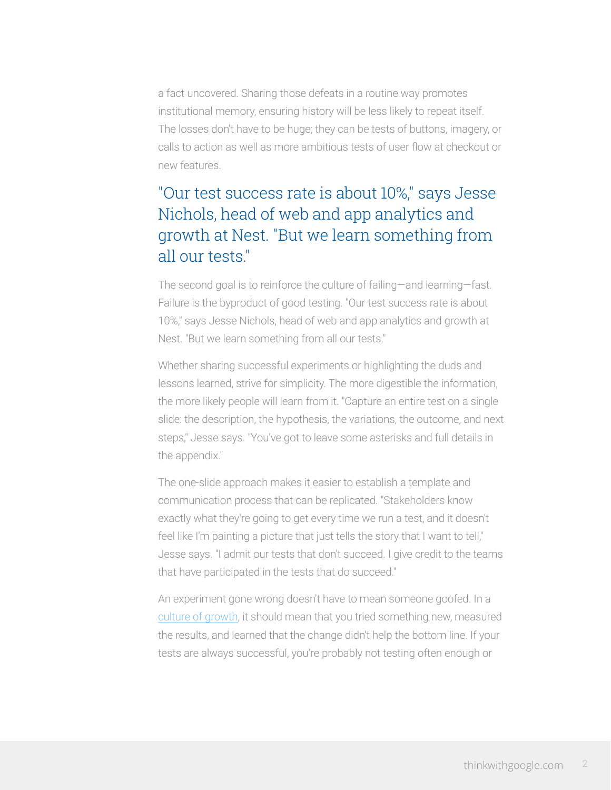a fact uncovered. Sharing those defeats in a routine way promotes institutional memory, ensuring history will be less likely to repeat itself. The losses don't have to be huge; they can be tests of buttons, imagery, or calls to action as well as more ambitious tests of user flow at checkout or new features.

## "Our test success rate is about 10%," says Jesse Nichols, head of web and app analytics and growth at Nest. "But we learn something from all our tests."

The second goal is to reinforce the culture of failing―and learning―fast. Failure is the byproduct of good testing. "Our test success rate is about 10%," says Jesse Nichols, head of web and app analytics and growth at Nest. "But we learn something from all our tests."

Whether sharing successful experiments or highlighting the duds and lessons learned, strive for simplicity. The more digestible the information, the more likely people will learn from it. "Capture an entire test on a single slide: the description, the hypothesis, the variations, the outcome, and next steps," Jesse says. "You've got to leave some asterisks and full details in the appendix."

The one-slide approach makes it easier to establish a template and communication process that can be replicated. "Stakeholders know exactly what they're going to get every time we run a test, and it doesn't feel like I'm painting a picture that just tells the story that I want to tell," Jesse says. "I admit our tests that don't succeed. I give credit to the teams that have participated in the tests that do succeed."

An experiment gone wrong doesn't have to mean someone goofed. In a [culture of growth](https://www.thinkwithgoogle.com/articles/marketing-optimization-testing-launch-growth.html?_ga=1.168796321.1404275398.1483553696), it should mean that you tried something new, measured the results, and learned that the change didn't help the bottom line. If your tests are always successful, you're probably not testing often enough or